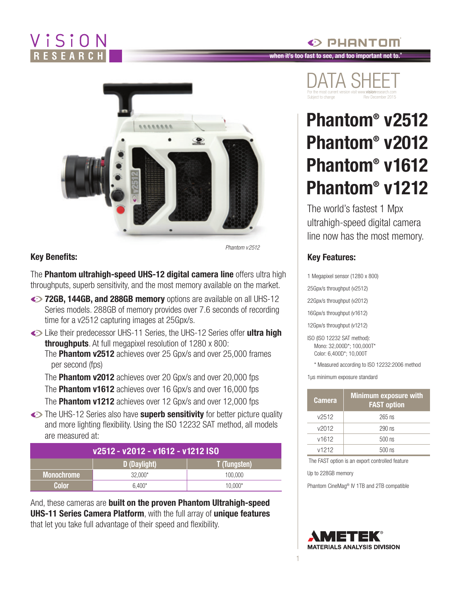# ViSiON



*Phantom v2512*

#### **Key Benefits:**

The **Phantom ultrahigh-speed UHS-12 digital camera line** offers ultra high throughputs, superb sensitivity, and the most memory available on the market.

- **12GB, 144GB, and 288GB memory** options are available on all UHS-12 Series models. 288GB of memory provides over 7.6 seconds of recording time for a v2512 capturing images at 25Gpx/s.
- Like their predecessor UHS-11 Series, the UHS-12 Series offer **ultra high throughputs**. At full megapixel resolution of 1280 x 800: The **Phantom v2512** achieves over 25 Gpx/s and over 25,000 frames per second (fps)

The **Phantom v2012** achieves over 20 Gpx/s and over 20,000 fps The **Phantom v1612** achieves over 16 Gpx/s and over 16,000 fps The **Phantom v1212** achieves over 12 Gpx/s and over 12,000 fps

The UHS-12 Series also have **superb sensitivity** for better picture quality and more lighting flexibility. Using the ISO 12232 SAT method, all models are measured at:

|              | v2512 - v2012 - v1612 - v1212 ISO |                     | v <sub>1212</sub>                       | $500$ ns                                        |
|--------------|-----------------------------------|---------------------|-----------------------------------------|-------------------------------------------------|
|              | D (Daylight)                      | <b>T</b> (Tungsten) | The FAST option is an export controlled |                                                 |
| Monochrome   | 32.000*                           | 100,000             | Up to 228GB memory                      |                                                 |
| <b>Color</b> | $6.400*$                          | 10.000*             |                                         | Phantom CineMag <sup>®</sup> IV 1TB and 2TB com |

And, these cameras are **built on the proven Phantom Ultrahigh-speed UHS-11 Series Camera Platform**, with the full array of **unique features** that let you take full advantage of their speed and flexibility.

## DATA SHEET For the most current version visit www.visionresearch.com Subject to change Rev December 2015

PHANTOM

**when it's too fast to see, and too important not to.®**

# **Phantom® v2512 Phantom® v2012 Phantom® v1612 Phantom® v1212**

The world's fastest 1 Mpx ultrahigh-speed digital camera line now has the most memory.

#### **Key Features:**

- 1 Megapixel sensor (1280 x 800)
- 25Gpx/s throughput (v2512)
- 22Gpx/s throughput (v2012)
- 16Gpx/s throughput (v1612)
- 12Gpx/s throughput (v1212)
- ISO (ISO 12232 SAT method): Mono: 32,000D\*; 100,000T\* Color: 6,400D\*; 10,000T
	- \* Measured according to ISO 12232:2006 method

1µs minimum exposure standard

| <b>Camera</b> | <b>Minimum exposure with</b><br><b>FAST option</b> |  |  |
|---------------|----------------------------------------------------|--|--|
| v2512         | $265$ ns                                           |  |  |
| v2012         | $290$ ns                                           |  |  |
| v1612         | $500$ ns                                           |  |  |
| v1212         | $500$ ns                                           |  |  |

The FAST option is an export controlled feature

1

Phantom CineMag® IV 1TB and 2TB compatible

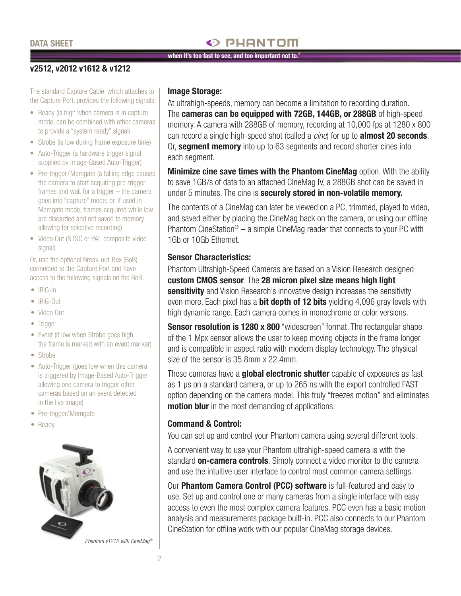#### **DATA SHEET**

### $\odot$  PHANTOM

#### **when it's too fast to see, and too important not to.®**

#### **v2512, v2012 v1612 & v1212**

The standard Capture Cable, which attaches to the Capture Port, provides the following signals:

- Ready (is high when camera is in capture mode, can be combined with other cameras to provide a "system ready" signal)
- Strobe (is low during frame exposure time)
- Auto-Trigger (a hardware trigger signal supplied by Image-Based Auto-Trigger)
- Pre-trigger/Memgate (a falling edge causes the camera to start acquiring pre-trigger frames and wait for a trigger – the camera goes into "capture" mode; or, if used in Memgate mode, frames acquired while low are discarded and not saved to memory allowing for selective recording)
- Video Out (NTSC or PAL composite video signal)

Or, use the optional Break-out-Box (BoB) connected to the Capture Port and have access to the following signals on the BoB.

- • IRIG-In
- • IRIG-Out
- • Video Out
- Trigger
- Event (if low when Strobe goes high, the frame is marked with an event marker)
- Strobe
- Auto-Trigger (goes low when this camera is triggered by Image-Based Auto-Trigger allowing one camera to trigger other cameras based on an event detected in the live image)
- Pre-trigger/Memgate
- Ready



#### **Image Storage:**

At ultrahigh-speeds, memory can become a limitation to recording duration. The **cameras can be equipped with 72GB, 144GB, or 288GB** of high-speed memory. A camera with 288GB of memory, recording at 10,000 fps at 1280 x 800 can record a single high-speed shot (called a *cine*) for up to **almost 20 seconds**. Or, **segment memory** into up to 63 segments and record shorter cines into each segment.

**Minimize cine save times with the Phantom CineMag** option. With the ability to save 1GB/s of data to an attached CineMag IV, a 288GB shot can be saved in under 5 minutes. The cine is **securely stored in non-volatile memory.**

The contents of a CineMag can later be viewed on a PC, trimmed, played to video, and saved either by placing the CineMag back on the camera, or using our offline Phantom CineStation® – a simple CineMag reader that connects to your PC with 1Gb or 10Gb Ethernet.

#### **Sensor Characteristics:**

Phantom Ultrahigh-Speed Cameras are based on a Vision Research designed **custom CMOS sensor**. The **28 micron pixel size means high light sensitivity** and Vision Research's innovative design increases the sensitivity even more. Each pixel has a **bit depth of 12 bits** yielding 4,096 gray levels with high dynamic range. Each camera comes in monochrome or color versions.

**Sensor resolution is 1280 x 800** "widescreen" format. The rectangular shape of the 1 Mpx sensor allows the user to keep moving objects in the frame longer and is compatible in aspect ratio with modern display technology. The physical size of the sensor is 35.8mm x 22.4mm.

These cameras have a **global electronic shutter** capable of exposures as fast as 1 µs on a standard camera, or up to 265 ns with the export controlled FAST option depending on the camera model. This truly "freezes motion" and eliminates **motion blur** in the most demanding of applications.

#### **Command & Control:**

You can set up and control your Phantom camera using several different tools.

A convenient way to use your Phantom ultrahigh-speed camera is with the standard **on-camera controls**. Simply connect a video monitor to the camera and use the intuitive user interface to control most common camera settings.

Our **Phantom Camera Control (PCC) software** is full-featured and easy to use. Set up and control one or many cameras from a single interface with easy access to even the most complex camera features. PCC even has a basic motion analysis and measurements package built-in. PCC also connects to our Phantom CineStation for offline work with our popular CineMag storage devices.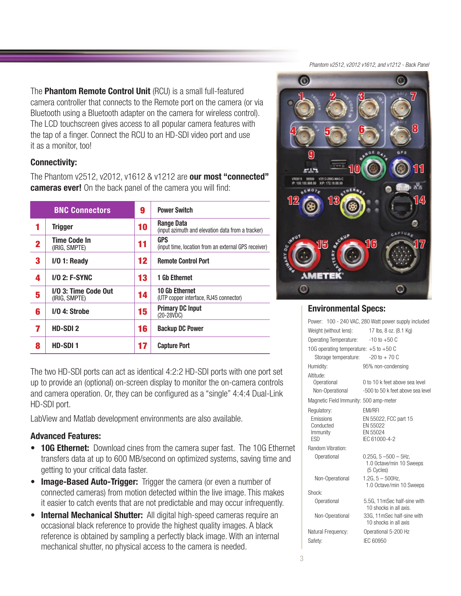*Phantom v2512, v2012 v1612, and v1212 - Back Panel* 

The **Phantom Remote Control Unit** (RCU) is a small full-featured camera controller that connects to the Remote port on the camera (or via Bluetooth using a Bluetooth adapter on the camera for wireless control). The LCD touchscreen gives access to all popular camera features with the tap of a finger. Connect the RCU to an HD-SDI video port and use it as a monitor, too!

#### **Connectivity:**

The Phantom v2512, v2012, v1612 & v1212 are **our most "connected" cameras ever!** On the back panel of the camera you will find:

| <b>BNC Connectors</b> |                                       | 9  | <b>Power Switch</b>                                             |  |
|-----------------------|---------------------------------------|----|-----------------------------------------------------------------|--|
| 1                     | <b>Trigger</b>                        | 10 | Range Data<br>(input azimuth and elevation data from a tracker) |  |
| 2                     | Time Code In<br>(IRIG, SMPTE)         | 11 | GPS<br>(input time, location from an external GPS receiver)     |  |
| 3                     | $I/O$ 1: Ready                        | 12 | <b>Remote Control Port</b>                                      |  |
| 4                     | <b>I/O 2: F-SYNC</b>                  | 13 | <b>1 Gb Ethernet</b>                                            |  |
| 5                     | I/O 3: Time Code Out<br>(IRIG. SMPTE) | 14 | <b>10 Gb Ethernet</b><br>(UTP copper interface, RJ45 connector) |  |
| 6                     | $1/0$ 4: Strobe                       | 15 | <b>Primary DC Input</b><br>$(20-28VDC)$                         |  |
| 7                     | HD-SDI <sub>2</sub>                   | 16 | <b>Backup DC Power</b>                                          |  |
| 8                     | HD-SDI <sub>1</sub>                   | 17 | <b>Capture Port</b>                                             |  |

The two HD-SDI ports can act as identical 4:2:2 HD-SDI ports with one port set up to provide an (optional) on-screen display to monitor the on-camera controls and camera operation. Or, they can be configured as a "single" 4:4:4 Dual-Link HD-SDI port.

LabView and Matlab development environments are also available.

#### **Advanced Features:**

- **10G Ethernet:** Download cines from the camera super fast. The 10G Ethernet transfers data at up to 600 MB/second on optimized systems, saving time and getting to your critical data faster.
- **Image-Based Auto-Trigger:** Trigger the camera (or even a number of connected cameras) from motion detected within the live image. This makes it easier to catch events that are not predictable and may occur infrequently.
- **Internal Mechanical Shutter:** All digital high-speed cameras require an occasional black reference to provide the highest quality images. A black reference is obtained by sampling a perfectly black image. With an internal mechanical shutter, no physical access to the camera is needed.



#### **Environmental Specs:**

|                                                                 | Power: 100 - 240 VAC, 280 Watt power supply included                             |
|-----------------------------------------------------------------|----------------------------------------------------------------------------------|
| Weight (without lens): 17 lbs, 8 oz. (8.1 Kg)                   |                                                                                  |
| Operating Temperature:                                          | $-10$ to $+50$ C                                                                 |
| 10G operating temperature: $+5$ to $+50$ C                      |                                                                                  |
| Storage temperature:                                            | $-20$ to $+70$ C                                                                 |
| Humidity:                                                       | 95% non-condensing                                                               |
| Altitude:<br>Operational                                        | 0 to 10 k feet above sea level                                                   |
| Non-Operational                                                 | -500 to 50 k feet above sea level                                                |
|                                                                 |                                                                                  |
| Magnetic Field Immunity: 500 amp-meter                          |                                                                                  |
| Regulatory:<br>Emissions<br>Conducted<br>Immunity<br><b>FSD</b> | <b>EMI/RFI</b><br>EN 55022, FCC part 15<br>EN 55022<br>EN 55024<br>IEC 61000-4-2 |
| <b>Random Vibration:</b>                                        |                                                                                  |
| Operational                                                     | $0.25G. 5 - 500 - 5Hz.$<br>1.0 Octave/min 10 Sweeps<br>(5 Cycles)                |
| Non-Operational                                                 | $1.2G, 5 - 500Hz$<br>1.0 Octave/min 10 Sweeps                                    |
| Shock:                                                          |                                                                                  |
| Operational                                                     | 5.5G, 11mSec half-sine with<br>10 shocks in all axis.                            |
| Non-Operational                                                 | 33G, 11mSec half-sine with<br>10 shocks in all axis                              |
| Natural Frequency:                                              | Operational 5-200 Hz                                                             |
| Safety:                                                         | IEC 60950                                                                        |
|                                                                 |                                                                                  |